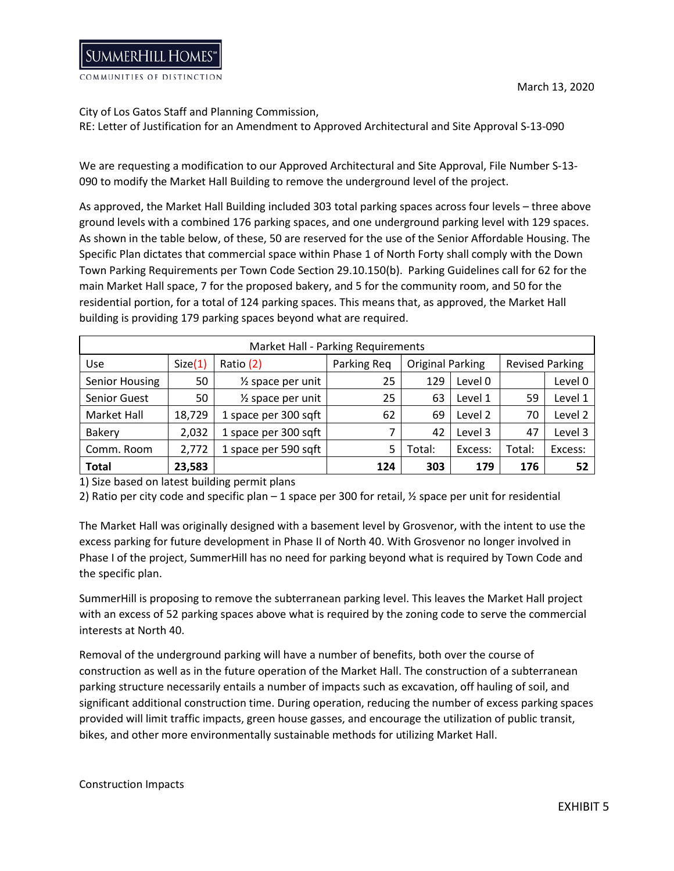City of Los Gatos Staff and Planning Commission,

**SUMMERHILL HOMES** COMMUNITIES OF DISTINCTION

RE: Letter of Justification for an Amendment to Approved Architectural and Site Approval S-13-090

We are requesting a modification to our Approved Architectural and Site Approval, File Number S-13- 090 to modify the Market Hall Building to remove the underground level of the project.

As approved, the Market Hall Building included 303 total parking spaces across four levels – three above ground levels with a combined 176 parking spaces, and one underground parking level with 129 spaces. As shown in the table below, of these, 50 are reserved for the use of the Senior Affordable Housing. The Specific Plan dictates that commercial space within Phase 1 of North Forty shall comply with the Down Town Parking Requirements per Town Code Section 29.10.150(b). Parking Guidelines call for 62 for the main Market Hall space, 7 for the proposed bakery, and 5 for the community room, and 50 for the residential portion, for a total of 124 parking spaces. This means that, as approved, the Market Hall building is providing 179 parking spaces beyond what are required.

| <b>Market Hall - Parking Requirements</b> |         |                              |             |                         |         |                        |         |
|-------------------------------------------|---------|------------------------------|-------------|-------------------------|---------|------------------------|---------|
| Use                                       | Size(1) | Ratio (2)                    | Parking Req | <b>Original Parking</b> |         | <b>Revised Parking</b> |         |
| Senior Housing                            | 50      | $\frac{1}{2}$ space per unit | 25          | 129                     | Level 0 |                        | Level 0 |
| <b>Senior Guest</b>                       | 50      | $\frac{1}{2}$ space per unit | 25          | 63                      | Level 1 | 59                     | Level 1 |
| <b>Market Hall</b>                        | 18,729  | 1 space per 300 sqft         | 62          | 69                      | Level 2 | 70                     | Level 2 |
| <b>Bakery</b>                             | 2,032   | 1 space per 300 sqft         |             | 42                      | Level 3 | 47                     | Level 3 |
| Comm. Room                                | 2,772   | 1 space per 590 sqft         |             | Total:                  | Excess: | Total:                 | Excess: |
| <b>Total</b>                              | 23,583  |                              | 124         | 303                     | 179     | 176                    | 52      |

1) Size based on latest building permit plans

2) Ratio per city code and specific plan  $-1$  space per 300 for retail,  $\frac{1}{2}$  space per unit for residential

The Market Hall was originally designed with a basement level by Grosvenor, with the intent to use the excess parking for future development in Phase II of North 40. With Grosvenor no longer involved in Phase I of the project, SummerHill has no need for parking beyond what is required by Town Code and the specific plan.

SummerHill is proposing to remove the subterranean parking level. This leaves the Market Hall project with an excess of 52 parking spaces above what is required by the zoning code to serve the commercial interests at North 40.

Removal of the underground parking will have a number of benefits, both over the course of construction as well as in the future operation of the Market Hall. The construction of a subterranean parking structure necessarily entails a number of impacts such as excavation, off hauling of soil, and significant additional construction time. During operation, reducing the number of excess parking spaces provided will limit traffic impacts, green house gasses, and encourage the utilization of public transit, bikes, and other more environmentally sustainable methods for utilizing Market Hall.